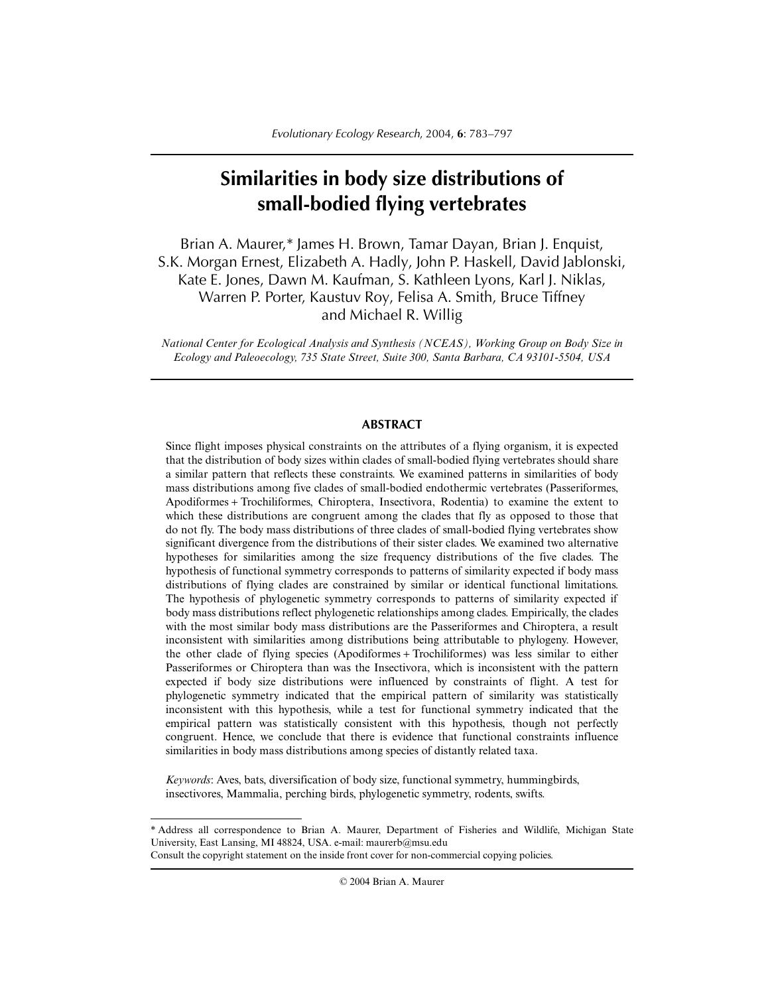# **Similarities in body size distributions of small-bodied flying vertebrates**

Brian A. Maurer,\* James H. Brown, Tamar Dayan, Brian J. Enquist, S.K. Morgan Ernest, Elizabeth A. Hadly, John P. Haskell, David Jablonski, Kate E. Jones, Dawn M. Kaufman, S. Kathleen Lyons, Karl J. Niklas, Warren P. Porter, Kaustuv Roy, Felisa A. Smith, Bruce Tiffney and Michael R. Willig

*National Center for Ecological Analysis and Synthesis (NCEAS), Working Group on Body Size in Ecology and Paleoecology, 735 State Street, Suite 300, Santa Barbara, CA 93101-5504, USA*

# **ABSTRACT**

Since flight imposes physical constraints on the attributes of a flying organism, it is expected that the distribution of body sizes within clades of small-bodied flying vertebrates should share a similar pattern that reflects these constraints. We examined patterns in similarities of body mass distributions among five clades of small-bodied endothermic vertebrates (Passeriformes, Apodiformes + Trochiliformes, Chiroptera, Insectivora, Rodentia) to examine the extent to which these distributions are congruent among the clades that fly as opposed to those that do not fly. The body mass distributions of three clades of small-bodied flying vertebrates show significant divergence from the distributions of their sister clades. We examined two alternative hypotheses for similarities among the size frequency distributions of the five clades. The hypothesis of functional symmetry corresponds to patterns of similarity expected if body mass distributions of flying clades are constrained by similar or identical functional limitations. The hypothesis of phylogenetic symmetry corresponds to patterns of similarity expected if body mass distributions reflect phylogenetic relationships among clades. Empirically, the clades with the most similar body mass distributions are the Passeriformes and Chiroptera, a result inconsistent with similarities among distributions being attributable to phylogeny. However, the other clade of flying species (Apodiformes + Trochiliformes) was less similar to either Passeriformes or Chiroptera than was the Insectivora, which is inconsistent with the pattern expected if body size distributions were influenced by constraints of flight. A test for phylogenetic symmetry indicated that the empirical pattern of similarity was statistically inconsistent with this hypothesis, while a test for functional symmetry indicated that the empirical pattern was statistically consistent with this hypothesis, though not perfectly congruent. Hence, we conclude that there is evidence that functional constraints influence similarities in body mass distributions among species of distantly related taxa.

*Keywords*: Aves, bats, diversification of body size, functional symmetry, hummingbirds, insectivores, Mammalia, perching birds, phylogenetic symmetry, rodents, swifts.

© 2004 Brian A. Maurer

<sup>\*</sup> Address all correspondence to Brian A. Maurer, Department of Fisheries and Wildlife, Michigan State University, East Lansing, MI 48824, USA. e-mail: maurerb@msu.edu

Consult the copyright statement on the inside front cover for non-commercial copying policies.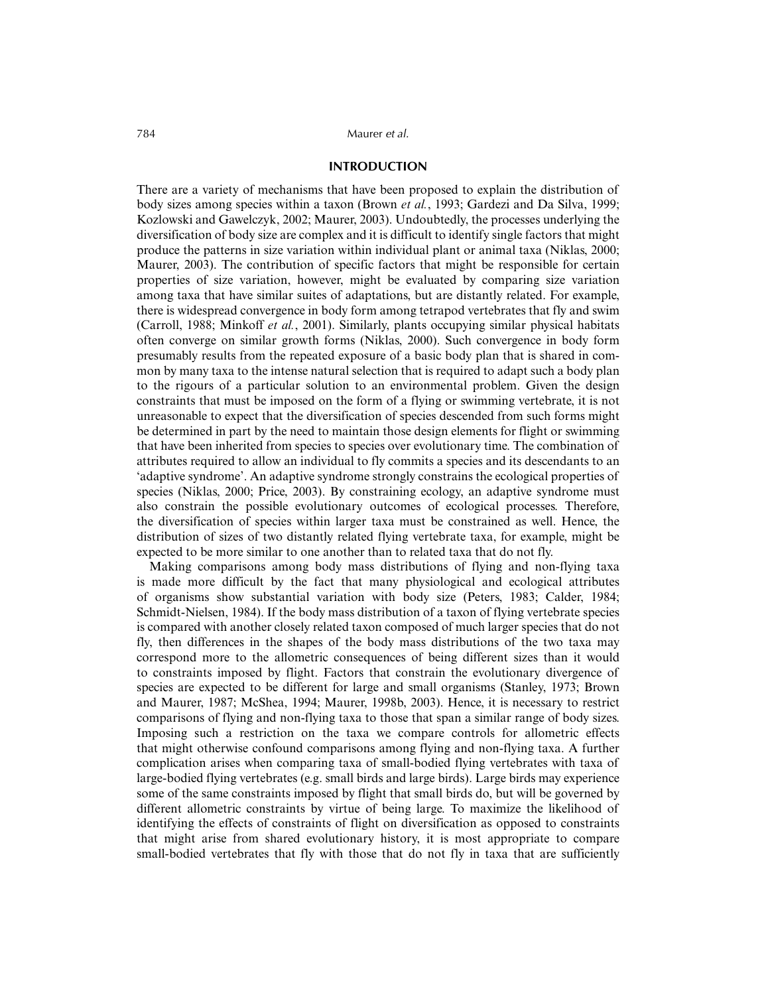# **INTRODUCTION**

There are a variety of mechanisms that have been proposed to explain the distribution of body sizes among species within a taxon (Brown *et al.*, 1993; Gardezi and Da Silva, 1999; Kozlowski and Gawelczyk, 2002; Maurer, 2003). Undoubtedly, the processes underlying the diversification of body size are complex and it is difficult to identify single factors that might produce the patterns in size variation within individual plant or animal taxa (Niklas, 2000; Maurer, 2003). The contribution of specific factors that might be responsible for certain properties of size variation, however, might be evaluated by comparing size variation among taxa that have similar suites of adaptations, but are distantly related. For example, there is widespread convergence in body form among tetrapod vertebrates that fly and swim (Carroll, 1988; Minkoff *et al.*, 2001). Similarly, plants occupying similar physical habitats often converge on similar growth forms (Niklas, 2000). Such convergence in body form presumably results from the repeated exposure of a basic body plan that is shared in common by many taxa to the intense natural selection that is required to adapt such a body plan to the rigours of a particular solution to an environmental problem. Given the design constraints that must be imposed on the form of a flying or swimming vertebrate, it is not unreasonable to expect that the diversification of species descended from such forms might be determined in part by the need to maintain those design elements for flight or swimming that have been inherited from species to species over evolutionary time. The combination of attributes required to allow an individual to fly commits a species and its descendants to an 'adaptive syndrome'. An adaptive syndrome strongly constrains the ecological properties of species (Niklas, 2000; Price, 2003). By constraining ecology, an adaptive syndrome must also constrain the possible evolutionary outcomes of ecological processes. Therefore, the diversification of species within larger taxa must be constrained as well. Hence, the distribution of sizes of two distantly related flying vertebrate taxa, for example, might be expected to be more similar to one another than to related taxa that do not fly.

Making comparisons among body mass distributions of flying and non-flying taxa is made more difficult by the fact that many physiological and ecological attributes of organisms show substantial variation with body size (Peters, 1983; Calder, 1984; Schmidt-Nielsen, 1984). If the body mass distribution of a taxon of flying vertebrate species is compared with another closely related taxon composed of much larger species that do not fly, then differences in the shapes of the body mass distributions of the two taxa may correspond more to the allometric consequences of being different sizes than it would to constraints imposed by flight. Factors that constrain the evolutionary divergence of species are expected to be different for large and small organisms (Stanley, 1973; Brown and Maurer, 1987; McShea, 1994; Maurer, 1998b, 2003). Hence, it is necessary to restrict comparisons of flying and non-flying taxa to those that span a similar range of body sizes. Imposing such a restriction on the taxa we compare controls for allometric effects that might otherwise confound comparisons among flying and non-flying taxa. A further complication arises when comparing taxa of small-bodied flying vertebrates with taxa of large-bodied flying vertebrates (e.g. small birds and large birds). Large birds may experience some of the same constraints imposed by flight that small birds do, but will be governed by different allometric constraints by virtue of being large. To maximize the likelihood of identifying the effects of constraints of flight on diversification as opposed to constraints that might arise from shared evolutionary history, it is most appropriate to compare small-bodied vertebrates that fly with those that do not fly in taxa that are sufficiently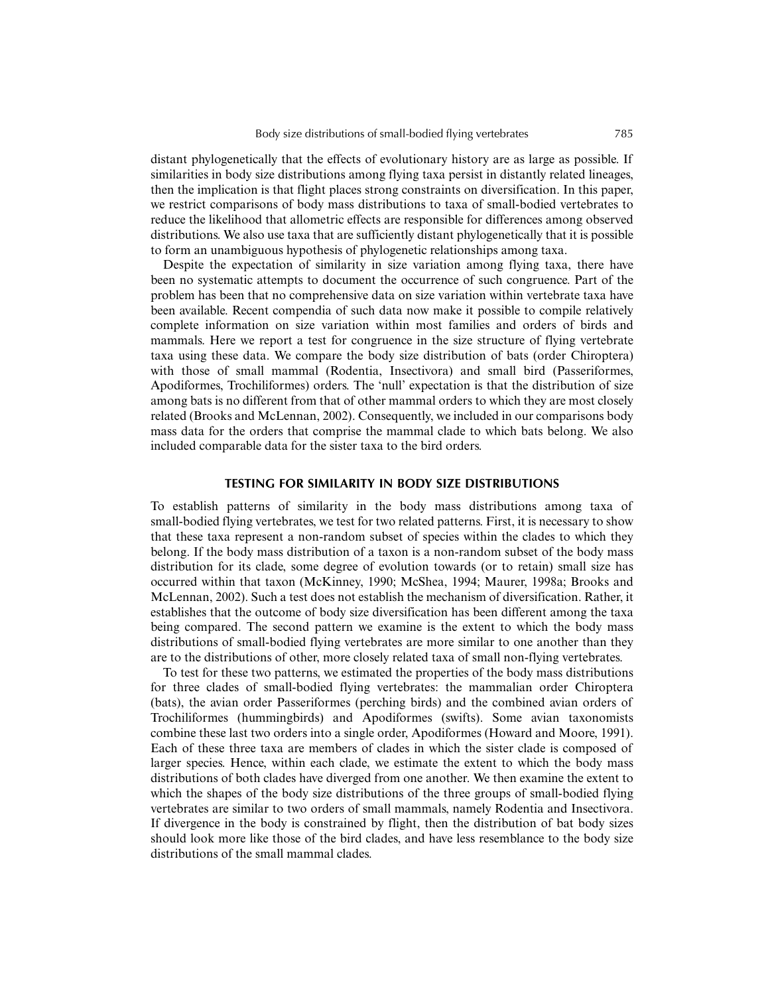distant phylogenetically that the effects of evolutionary history are as large as possible. If similarities in body size distributions among flying taxa persist in distantly related lineages, then the implication is that flight places strong constraints on diversification. In this paper, we restrict comparisons of body mass distributions to taxa of small-bodied vertebrates to reduce the likelihood that allometric effects are responsible for differences among observed distributions. We also use taxa that are sufficiently distant phylogenetically that it is possible to form an unambiguous hypothesis of phylogenetic relationships among taxa.

Despite the expectation of similarity in size variation among flying taxa, there have been no systematic attempts to document the occurrence of such congruence. Part of the problem has been that no comprehensive data on size variation within vertebrate taxa have been available. Recent compendia of such data now make it possible to compile relatively complete information on size variation within most families and orders of birds and mammals. Here we report a test for congruence in the size structure of flying vertebrate taxa using these data. We compare the body size distribution of bats (order Chiroptera) with those of small mammal (Rodentia, Insectivora) and small bird (Passeriformes, Apodiformes, Trochiliformes) orders. The 'null' expectation is that the distribution of size among bats is no different from that of other mammal orders to which they are most closely related (Brooks and McLennan, 2002). Consequently, we included in our comparisons body mass data for the orders that comprise the mammal clade to which bats belong. We also included comparable data for the sister taxa to the bird orders.

## **TESTING FOR SIMILARITY IN BODY SIZE DISTRIBUTIONS**

To establish patterns of similarity in the body mass distributions among taxa of small-bodied flying vertebrates, we test for two related patterns. First, it is necessary to show that these taxa represent a non-random subset of species within the clades to which they belong. If the body mass distribution of a taxon is a non-random subset of the body mass distribution for its clade, some degree of evolution towards (or to retain) small size has occurred within that taxon (McKinney, 1990; McShea, 1994; Maurer, 1998a; Brooks and McLennan, 2002). Such a test does not establish the mechanism of diversification. Rather, it establishes that the outcome of body size diversification has been different among the taxa being compared. The second pattern we examine is the extent to which the body mass distributions of small-bodied flying vertebrates are more similar to one another than they are to the distributions of other, more closely related taxa of small non-flying vertebrates.

To test for these two patterns, we estimated the properties of the body mass distributions for three clades of small-bodied flying vertebrates: the mammalian order Chiroptera (bats), the avian order Passeriformes (perching birds) and the combined avian orders of Trochiliformes (hummingbirds) and Apodiformes (swifts). Some avian taxonomists combine these last two orders into a single order, Apodiformes (Howard and Moore, 1991). Each of these three taxa are members of clades in which the sister clade is composed of larger species. Hence, within each clade, we estimate the extent to which the body mass distributions of both clades have diverged from one another. We then examine the extent to which the shapes of the body size distributions of the three groups of small-bodied flying vertebrates are similar to two orders of small mammals, namely Rodentia and Insectivora. If divergence in the body is constrained by flight, then the distribution of bat body sizes should look more like those of the bird clades, and have less resemblance to the body size distributions of the small mammal clades.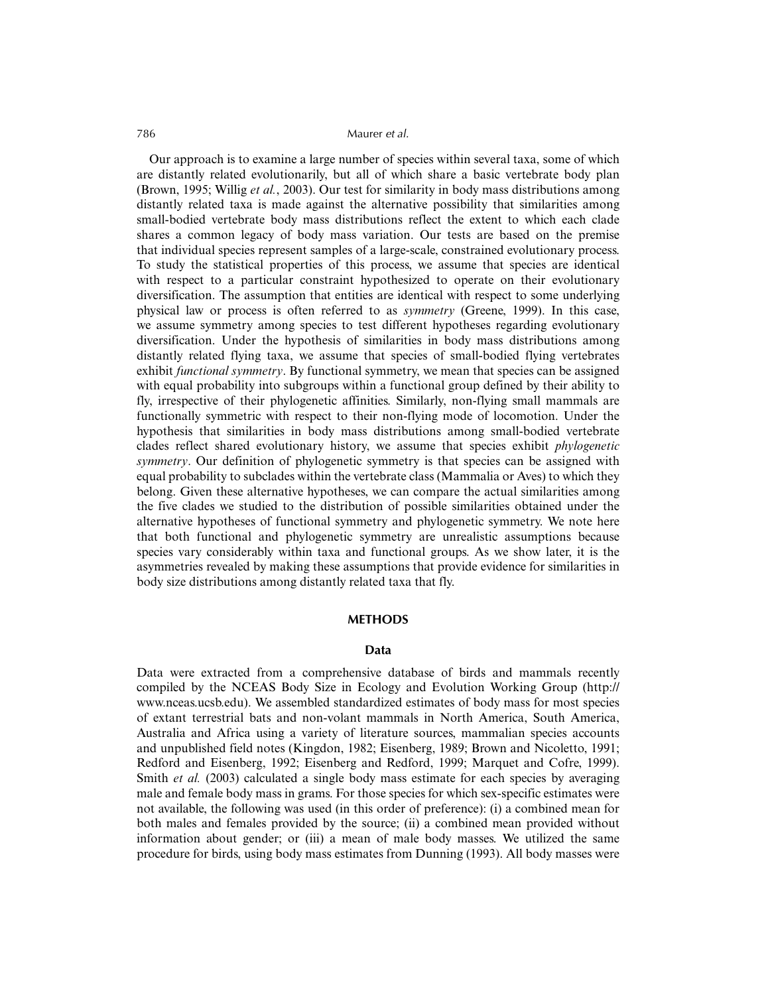Our approach is to examine a large number of species within several taxa, some of which are distantly related evolutionarily, but all of which share a basic vertebrate body plan (Brown, 1995; Willig *et al.*, 2003). Our test for similarity in body mass distributions among distantly related taxa is made against the alternative possibility that similarities among small-bodied vertebrate body mass distributions reflect the extent to which each clade shares a common legacy of body mass variation. Our tests are based on the premise that individual species represent samples of a large-scale, constrained evolutionary process. To study the statistical properties of this process, we assume that species are identical with respect to a particular constraint hypothesized to operate on their evolutionary diversification. The assumption that entities are identical with respect to some underlying physical law or process is often referred to as *symmetry* (Greene, 1999). In this case, we assume symmetry among species to test different hypotheses regarding evolutionary diversification. Under the hypothesis of similarities in body mass distributions among distantly related flying taxa, we assume that species of small-bodied flying vertebrates exhibit *functional symmetry*. By functional symmetry, we mean that species can be assigned with equal probability into subgroups within a functional group defined by their ability to fly, irrespective of their phylogenetic affinities. Similarly, non-flying small mammals are functionally symmetric with respect to their non-flying mode of locomotion. Under the hypothesis that similarities in body mass distributions among small-bodied vertebrate clades reflect shared evolutionary history, we assume that species exhibit *phylogenetic symmetry*. Our definition of phylogenetic symmetry is that species can be assigned with equal probability to subclades within the vertebrate class (Mammalia or Aves) to which they belong. Given these alternative hypotheses, we can compare the actual similarities among the five clades we studied to the distribution of possible similarities obtained under the alternative hypotheses of functional symmetry and phylogenetic symmetry. We note here that both functional and phylogenetic symmetry are unrealistic assumptions because species vary considerably within taxa and functional groups. As we show later, it is the asymmetries revealed by making these assumptions that provide evidence for similarities in body size distributions among distantly related taxa that fly.

#### **METHODS**

# **Data**

Data were extracted from a comprehensive database of birds and mammals recently compiled by the NCEAS Body Size in Ecology and Evolution Working Group (http:// www.nceas.ucsb.edu). We assembled standardized estimates of body mass for most species of extant terrestrial bats and non-volant mammals in North America, South America, Australia and Africa using a variety of literature sources, mammalian species accounts and unpublished field notes (Kingdon, 1982; Eisenberg, 1989; Brown and Nicoletto, 1991; Redford and Eisenberg, 1992; Eisenberg and Redford, 1999; Marquet and Cofre, 1999). Smith *et al.* (2003) calculated a single body mass estimate for each species by averaging male and female body mass in grams. For those species for which sex-specific estimates were not available, the following was used (in this order of preference): (i) a combined mean for both males and females provided by the source; (ii) a combined mean provided without information about gender; or (iii) a mean of male body masses. We utilized the same procedure for birds, using body mass estimates from Dunning (1993). All body masses were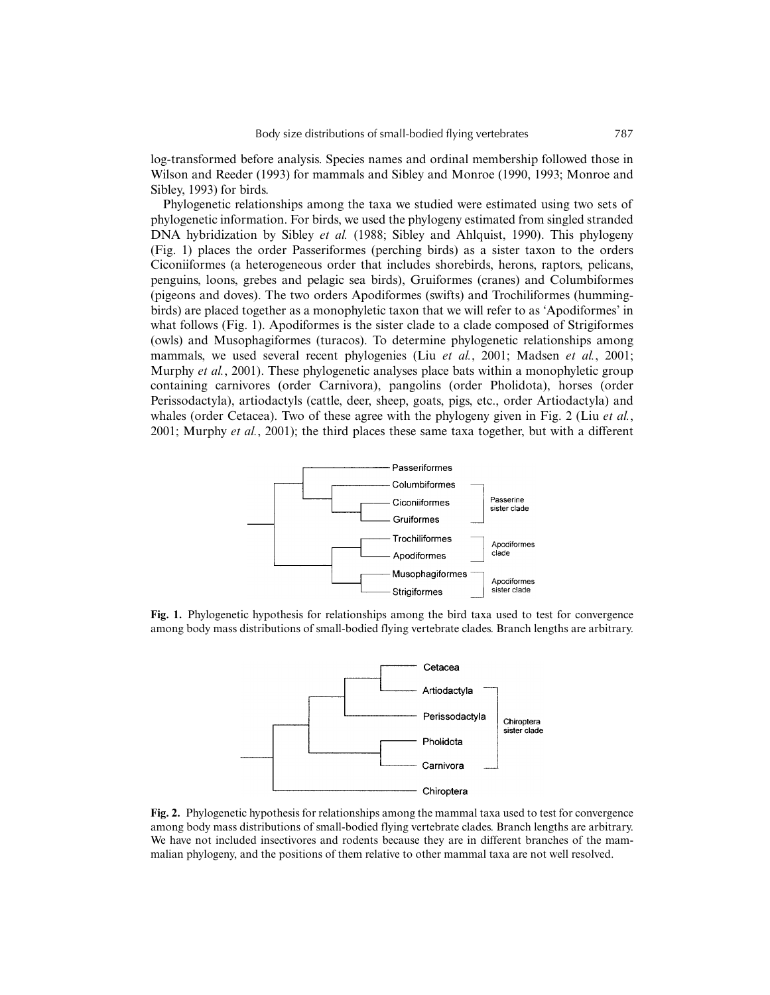log-transformed before analysis. Species names and ordinal membership followed those in Wilson and Reeder (1993) for mammals and Sibley and Monroe (1990, 1993; Monroe and Sibley, 1993) for birds.

Phylogenetic relationships among the taxa we studied were estimated using two sets of phylogenetic information. For birds, we used the phylogeny estimated from singled stranded DNA hybridization by Sibley *et al.* (1988; Sibley and Ahlquist, 1990). This phylogeny (Fig. 1) places the order Passeriformes (perching birds) as a sister taxon to the orders Ciconiiformes (a heterogeneous order that includes shorebirds, herons, raptors, pelicans, penguins, loons, grebes and pelagic sea birds), Gruiformes (cranes) and Columbiformes (pigeons and doves). The two orders Apodiformes (swifts) and Trochiliformes (hummingbirds) are placed together as a monophyletic taxon that we will refer to as 'Apodiformes' in what follows (Fig. 1). Apodiformes is the sister clade to a clade composed of Strigiformes (owls) and Musophagiformes (turacos). To determine phylogenetic relationships among mammals, we used several recent phylogenies (Liu *et al.*, 2001; Madsen *et al.*, 2001; Murphy *et al.*, 2001). These phylogenetic analyses place bats within a monophyletic group containing carnivores (order Carnivora), pangolins (order Pholidota), horses (order Perissodactyla), artiodactyls (cattle, deer, sheep, goats, pigs, etc., order Artiodactyla) and whales (order Cetacea). Two of these agree with the phylogeny given in Fig. 2 (Liu *et al.*, 2001; Murphy *et al.*, 2001); the third places these same taxa together, but with a different



**Fig. 1.** Phylogenetic hypothesis for relationships among the bird taxa used to test for convergence among body mass distributions of small-bodied flying vertebrate clades. Branch lengths are arbitrary.



**Fig. 2.** Phylogenetic hypothesis for relationships among the mammal taxa used to test for convergence among body mass distributions of small-bodied flying vertebrate clades. Branch lengths are arbitrary. We have not included insectivores and rodents because they are in different branches of the mammalian phylogeny, and the positions of them relative to other mammal taxa are not well resolved.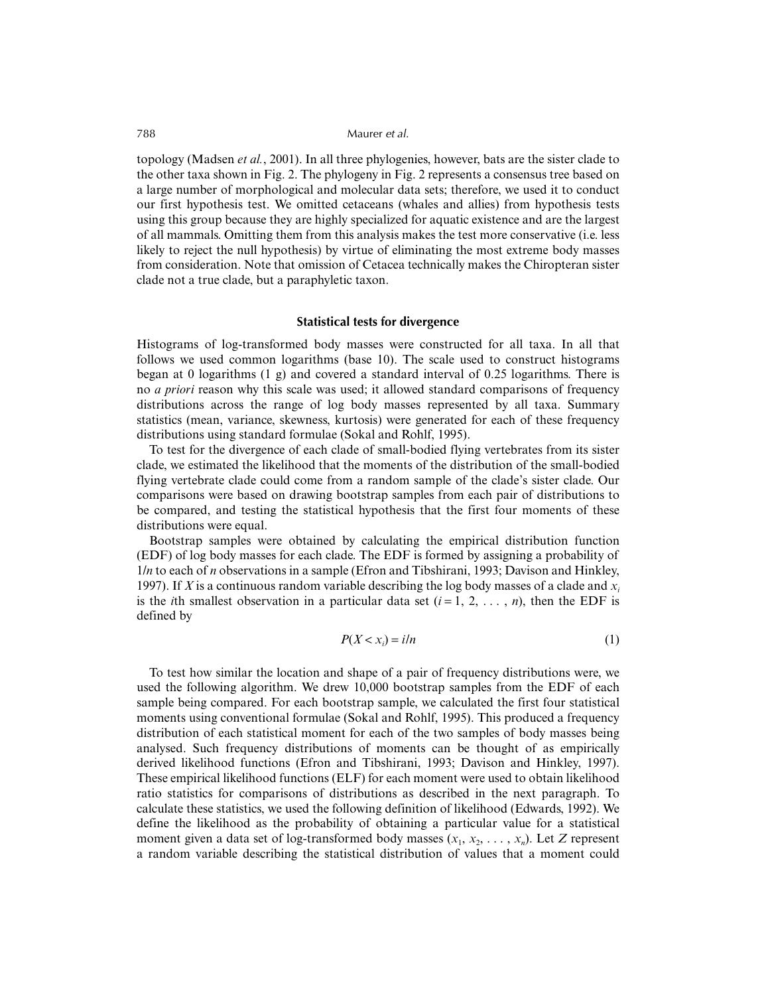topology (Madsen *et al.*, 2001). In all three phylogenies, however, bats are the sister clade to the other taxa shown in Fig. 2. The phylogeny in Fig. 2 represents a consensus tree based on a large number of morphological and molecular data sets; therefore, we used it to conduct our first hypothesis test. We omitted cetaceans (whales and allies) from hypothesis tests using this group because they are highly specialized for aquatic existence and are the largest of all mammals. Omitting them from this analysis makes the test more conservative (i.e. less likely to reject the null hypothesis) by virtue of eliminating the most extreme body masses from consideration. Note that omission of Cetacea technically makes the Chiropteran sister clade not a true clade, but a paraphyletic taxon.

#### **Statistical tests for divergence**

Histograms of log-transformed body masses were constructed for all taxa. In all that follows we used common logarithms (base 10). The scale used to construct histograms began at 0 logarithms  $(1 \text{ g})$  and covered a standard interval of 0.25 logarithms. There is no *a priori* reason why this scale was used; it allowed standard comparisons of frequency distributions across the range of log body masses represented by all taxa. Summary statistics (mean, variance, skewness, kurtosis) were generated for each of these frequency distributions using standard formulae (Sokal and Rohlf, 1995).

To test for the divergence of each clade of small-bodied flying vertebrates from its sister clade, we estimated the likelihood that the moments of the distribution of the small-bodied flying vertebrate clade could come from a random sample of the clade's sister clade. Our comparisons were based on drawing bootstrap samples from each pair of distributions to be compared, and testing the statistical hypothesis that the first four moments of these distributions were equal.

Bootstrap samples were obtained by calculating the empirical distribution function (EDF) of log body masses for each clade. The EDF is formed by assigning a probability of 1/*n* to each of *n* observations in a sample (Efron and Tibshirani, 1993; Davison and Hinkley, 1997). If *X* is a continuous random variable describing the log body masses of a clade and *xi* is the *i*th smallest observation in a particular data set  $(i = 1, 2, \ldots, n)$ , then the EDF is defined by

$$
P(X < x_i) = i/n \tag{1}
$$

To test how similar the location and shape of a pair of frequency distributions were, we used the following algorithm. We drew 10,000 bootstrap samples from the EDF of each sample being compared. For each bootstrap sample, we calculated the first four statistical moments using conventional formulae (Sokal and Rohlf, 1995). This produced a frequency distribution of each statistical moment for each of the two samples of body masses being analysed. Such frequency distributions of moments can be thought of as empirically derived likelihood functions (Efron and Tibshirani, 1993; Davison and Hinkley, 1997). These empirical likelihood functions (ELF) for each moment were used to obtain likelihood ratio statistics for comparisons of distributions as described in the next paragraph. To calculate these statistics, we used the following definition of likelihood (Edwards, 1992). We define the likelihood as the probability of obtaining a particular value for a statistical moment given a data set of log-transformed body masses  $(x_1, x_2, \ldots, x_n)$ . Let *Z* represent a random variable describing the statistical distribution of values that a moment could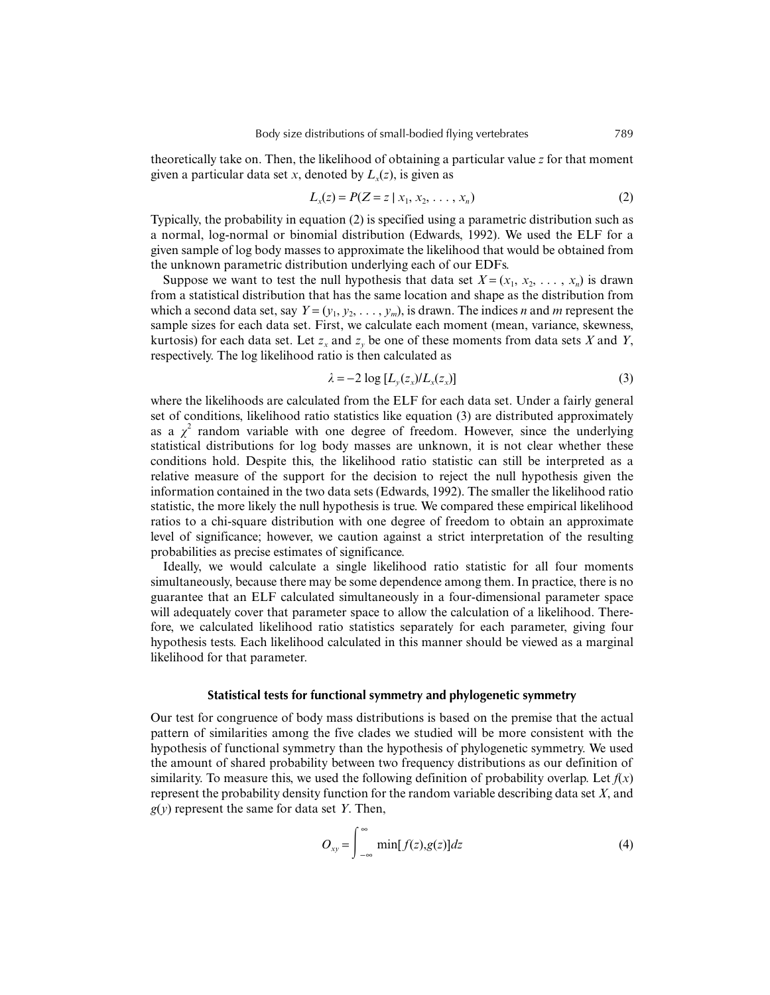theoretically take on. Then, the likelihood of obtaining a particular value *z* for that moment given a particular data set *x*, denoted by  $L(x)$ , is given as

$$
L_x(z) = P(Z = z \mid x_1, x_2, \dots, x_n)
$$
 (2)

Typically, the probability in equation (2) is specified using a parametric distribution such as a normal, log-normal or binomial distribution (Edwards, 1992). We used the ELF for a given sample of log body masses to approximate the likelihood that would be obtained from the unknown parametric distribution underlying each of our EDFs.

Suppose we want to test the null hypothesis that data set  $X = (x_1, x_2, \ldots, x_n)$  is drawn from a statistical distribution that has the same location and shape as the distribution from which a second data set, say  $Y = (y_1, y_2, \ldots, y_m)$ , is drawn. The indices *n* and *m* represent the sample sizes for each data set. First, we calculate each moment (mean, variance, skewness, kurtosis) for each data set. Let  $z<sub>x</sub>$  and  $z<sub>y</sub>$  be one of these moments from data sets *X* and *Y*, respectively. The log likelihood ratio is then calculated as

$$
\lambda = -2 \log \left[ L_y(z_x) / L_x(z_x) \right] \tag{3}
$$

where the likelihoods are calculated from the ELF for each data set. Under a fairly general set of conditions, likelihood ratio statistics like equation (3) are distributed approximately as a  $\chi^2$  random variable with one degree of freedom. However, since the underlying statistical distributions for log body masses are unknown, it is not clear whether these conditions hold. Despite this, the likelihood ratio statistic can still be interpreted as a relative measure of the support for the decision to reject the null hypothesis given the information contained in the two data sets (Edwards, 1992). The smaller the likelihood ratio statistic, the more likely the null hypothesis is true. We compared these empirical likelihood ratios to a chi-square distribution with one degree of freedom to obtain an approximate level of significance; however, we caution against a strict interpretation of the resulting probabilities as precise estimates of significance.

Ideally, we would calculate a single likelihood ratio statistic for all four moments simultaneously, because there may be some dependence among them. In practice, there is no guarantee that an ELF calculated simultaneously in a four-dimensional parameter space will adequately cover that parameter space to allow the calculation of a likelihood. Therefore, we calculated likelihood ratio statistics separately for each parameter, giving four hypothesis tests. Each likelihood calculated in this manner should be viewed as a marginal likelihood for that parameter.

# **Statistical tests for functional symmetry and phylogenetic symmetry**

Our test for congruence of body mass distributions is based on the premise that the actual pattern of similarities among the five clades we studied will be more consistent with the hypothesis of functional symmetry than the hypothesis of phylogenetic symmetry. We used the amount of shared probability between two frequency distributions as our definition of similarity. To measure this, we used the following definition of probability overlap. Let  $f(x)$ represent the probability density function for the random variable describing data set *X*, and *g*(*y*) represent the same for data set *Y*. Then,

$$
O_{xy} = \int_{-\infty}^{\infty} \min[f(z), g(z)]dz
$$
 (4)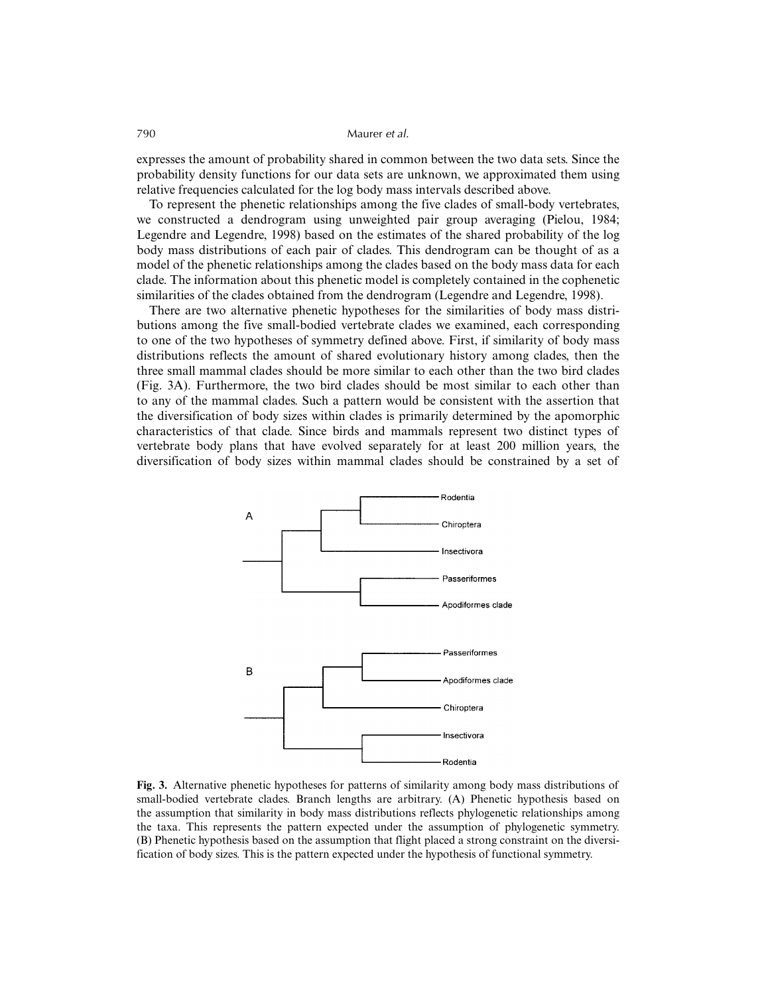expresses the amount of probability shared in common between the two data sets. Since the probability density functions for our data sets are unknown, we approximated them using relative frequencies calculated for the log body mass intervals described above.

To represent the phenetic relationships among the five clades of small-body vertebrates, we constructed a dendrogram using unweighted pair group averaging (Pielou, 1984; Legendre and Legendre, 1998) based on the estimates of the shared probability of the log body mass distributions of each pair of clades. This dendrogram can be thought of as a model of the phenetic relationships among the clades based on the body mass data for each clade. The information about this phenetic model is completely contained in the cophenetic similarities of the clades obtained from the dendrogram (Legendre and Legendre, 1998).

There are two alternative phenetic hypotheses for the similarities of body mass distributions among the five small-bodied vertebrate clades we examined, each corresponding to one of the two hypotheses of symmetry defined above. First, if similarity of body mass distributions reflects the amount of shared evolutionary history among clades, then the three small mammal clades should be more similar to each other than the two bird clades (Fig. 3A). Furthermore, the two bird clades should be most similar to each other than to any of the mammal clades. Such a pattern would be consistent with the assertion that the diversification of body sizes within clades is primarily determined by the apomorphic characteristics of that clade. Since birds and mammals represent two distinct types of vertebrate body plans that have evolved separately for at least 200 million years, the diversification of body sizes within mammal clades should be constrained by a set of



**Fig. 3.** Alternative phenetic hypotheses for patterns of similarity among body mass distributions of small-bodied vertebrate clades. Branch lengths are arbitrary. (A) Phenetic hypothesis based on the assumption that similarity in body mass distributions reflects phylogenetic relationships among the taxa. This represents the pattern expected under the assumption of phylogenetic symmetry. (B) Phenetic hypothesis based on the assumption that flight placed a strong constraint on the diversification of body sizes. This is the pattern expected under the hypothesis of functional symmetry.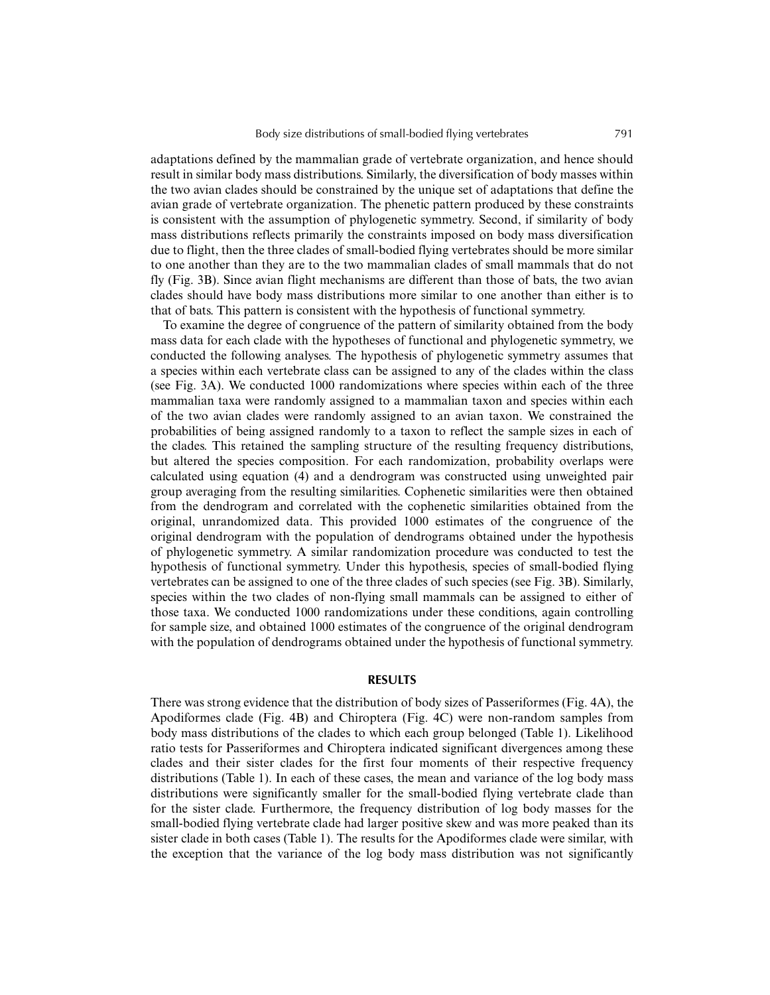adaptations defined by the mammalian grade of vertebrate organization, and hence should result in similar body mass distributions. Similarly, the diversification of body masses within the two avian clades should be constrained by the unique set of adaptations that define the avian grade of vertebrate organization. The phenetic pattern produced by these constraints is consistent with the assumption of phylogenetic symmetry. Second, if similarity of body mass distributions reflects primarily the constraints imposed on body mass diversification due to flight, then the three clades of small-bodied flying vertebrates should be more similar to one another than they are to the two mammalian clades of small mammals that do not fly (Fig. 3B). Since avian flight mechanisms are different than those of bats, the two avian clades should have body mass distributions more similar to one another than either is to that of bats. This pattern is consistent with the hypothesis of functional symmetry.

To examine the degree of congruence of the pattern of similarity obtained from the body mass data for each clade with the hypotheses of functional and phylogenetic symmetry, we conducted the following analyses. The hypothesis of phylogenetic symmetry assumes that a species within each vertebrate class can be assigned to any of the clades within the class (see Fig. 3A). We conducted 1000 randomizations where species within each of the three mammalian taxa were randomly assigned to a mammalian taxon and species within each of the two avian clades were randomly assigned to an avian taxon. We constrained the probabilities of being assigned randomly to a taxon to reflect the sample sizes in each of the clades. This retained the sampling structure of the resulting frequency distributions, but altered the species composition. For each randomization, probability overlaps were calculated using equation (4) and a dendrogram was constructed using unweighted pair group averaging from the resulting similarities. Cophenetic similarities were then obtained from the dendrogram and correlated with the cophenetic similarities obtained from the original, unrandomized data. This provided 1000 estimates of the congruence of the original dendrogram with the population of dendrograms obtained under the hypothesis of phylogenetic symmetry. A similar randomization procedure was conducted to test the hypothesis of functional symmetry. Under this hypothesis, species of small-bodied flying vertebrates can be assigned to one of the three clades of such species (see Fig. 3B). Similarly, species within the two clades of non-flying small mammals can be assigned to either of those taxa. We conducted 1000 randomizations under these conditions, again controlling for sample size, and obtained 1000 estimates of the congruence of the original dendrogram with the population of dendrograms obtained under the hypothesis of functional symmetry.

# **RESULTS**

There was strong evidence that the distribution of body sizes of Passeriformes (Fig. 4A), the Apodiformes clade (Fig. 4B) and Chiroptera (Fig. 4C) were non-random samples from body mass distributions of the clades to which each group belonged (Table 1). Likelihood ratio tests for Passeriformes and Chiroptera indicated significant divergences among these clades and their sister clades for the first four moments of their respective frequency distributions (Table 1). In each of these cases, the mean and variance of the log body mass distributions were significantly smaller for the small-bodied flying vertebrate clade than for the sister clade. Furthermore, the frequency distribution of log body masses for the small-bodied flying vertebrate clade had larger positive skew and was more peaked than its sister clade in both cases (Table 1). The results for the Apodiformes clade were similar, with the exception that the variance of the log body mass distribution was not significantly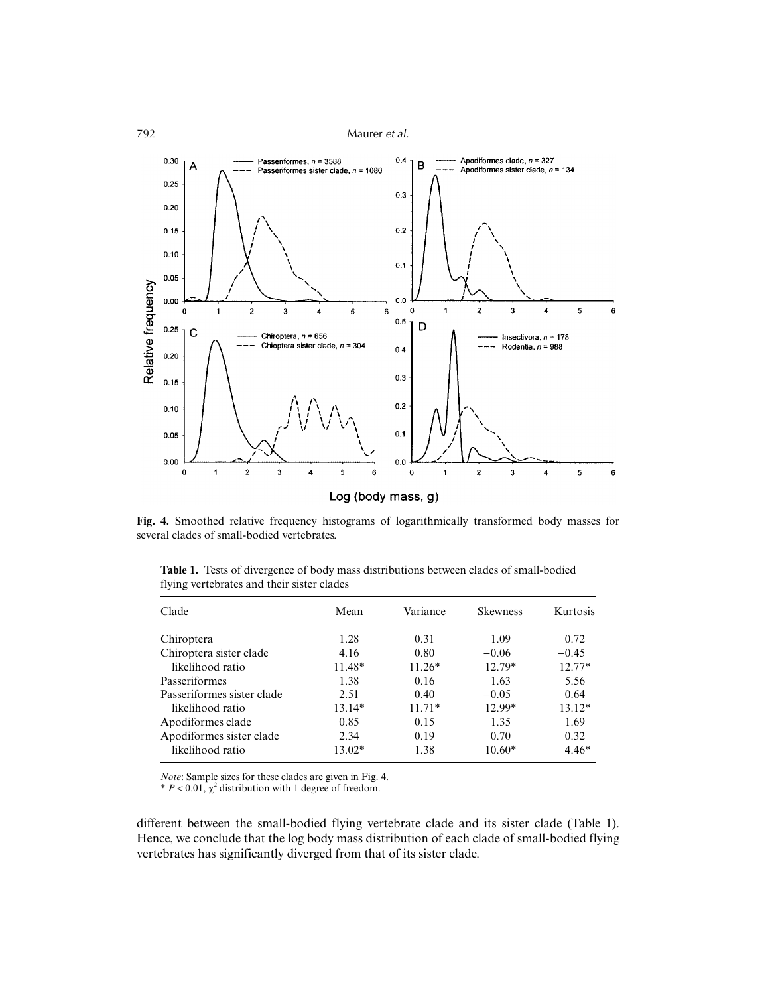

**Fig. 4.** Smoothed relative frequency histograms of logarithmically transformed body masses for several clades of small-bodied vertebrates.

| <b>Table 1.</b> Tests of divergence of body mass distributions between clades of small-bodied |
|-----------------------------------------------------------------------------------------------|
| flying vertebrates and their sister clades                                                    |
|                                                                                               |

| Clade                      | Mean     | Variance | <b>Skewness</b> | Kurtosis |
|----------------------------|----------|----------|-----------------|----------|
| Chiroptera                 | 1.28     | 0.31     | 1.09            | 0.72     |
| Chiroptera sister clade    | 4.16     | 0.80     | $-0.06$         | $-0.45$  |
| likelihood ratio           | 11.48*   | $11.26*$ | 12.79*          | $12.77*$ |
| Passeriformes              | 1.38     | 0.16     | 1.63            | 5.56     |
| Passeriformes sister clade | 2.51     | 0.40     | $-0.05$         | 0.64     |
| likelihood ratio           | $13.14*$ | $11.71*$ | 12.99*          | $13.12*$ |
| Apodiformes clade          | 0.85     | 0.15     | 1.35            | 1.69     |
| Apodiformes sister clade   | 2.34     | 0.19     | 0.70            | 0.32     |
| likelihood ratio           | 13.02*   | 1.38     | $10.60*$        | $4.46*$  |

*Note*: Sample sizes for these clades are given in Fig. 4.  $P < 0.01$ ,  $\chi^2$  distribution with 1 degree of freedom.

different between the small-bodied flying vertebrate clade and its sister clade (Table 1). Hence, we conclude that the log body mass distribution of each clade of small-bodied flying vertebrates has significantly diverged from that of its sister clade.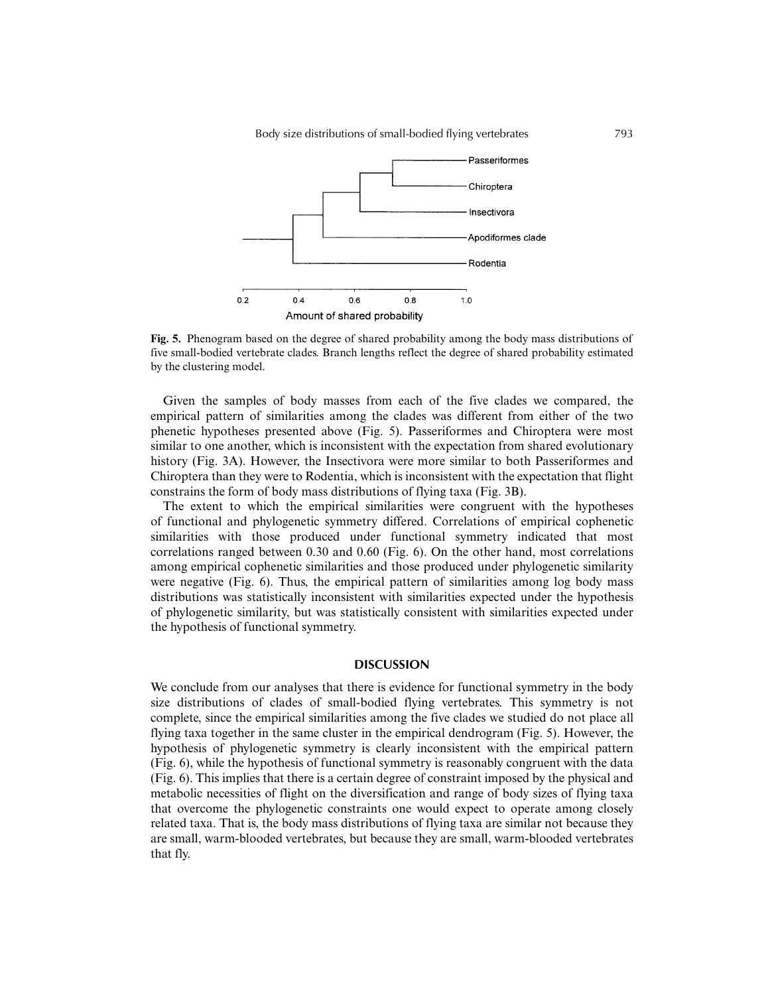

**Fig. 5.** Phenogram based on the degree of shared probability among the body mass distributions of five small-bodied vertebrate clades. Branch lengths reflect the degree of shared probability estimated by the clustering model.

Given the samples of body masses from each of the five clades we compared, the empirical pattern of similarities among the clades was different from either of the two phenetic hypotheses presented above (Fig. 5). Passeriformes and Chiroptera were most similar to one another, which is inconsistent with the expectation from shared evolutionary history (Fig. 3A). However, the Insectivora were more similar to both Passeriformes and Chiroptera than they were to Rodentia, which is inconsistent with the expectation that flight constrains the form of body mass distributions of flying taxa (Fig. 3B).

The extent to which the empirical similarities were congruent with the hypotheses of functional and phylogenetic symmetry differed. Correlations of empirical cophenetic similarities with those produced under functional symmetry indicated that most correlations ranged between 0.30 and 0.60 (Fig. 6). On the other hand, most correlations among empirical cophenetic similarities and those produced under phylogenetic similarity were negative (Fig. 6). Thus, the empirical pattern of similarities among log body mass distributions was statistically inconsistent with similarities expected under the hypothesis of phylogenetic similarity, but was statistically consistent with similarities expected under the hypothesis of functional symmetry.

# **DISCUSSION**

We conclude from our analyses that there is evidence for functional symmetry in the body size distributions of clades of small-bodied flying vertebrates. This symmetry is not complete, since the empirical similarities among the five clades we studied do not place all flying taxa together in the same cluster in the empirical dendrogram (Fig. 5). However, the hypothesis of phylogenetic symmetry is clearly inconsistent with the empirical pattern (Fig. 6), while the hypothesis of functional symmetry is reasonably congruent with the data (Fig. 6). This implies that there is a certain degree of constraint imposed by the physical and metabolic necessities of flight on the diversification and range of body sizes of flying taxa that overcome the phylogenetic constraints one would expect to operate among closely related taxa. That is, the body mass distributions of flying taxa are similar not because they are small, warm-blooded vertebrates, but because they are small, warm-blooded vertebrates that fly.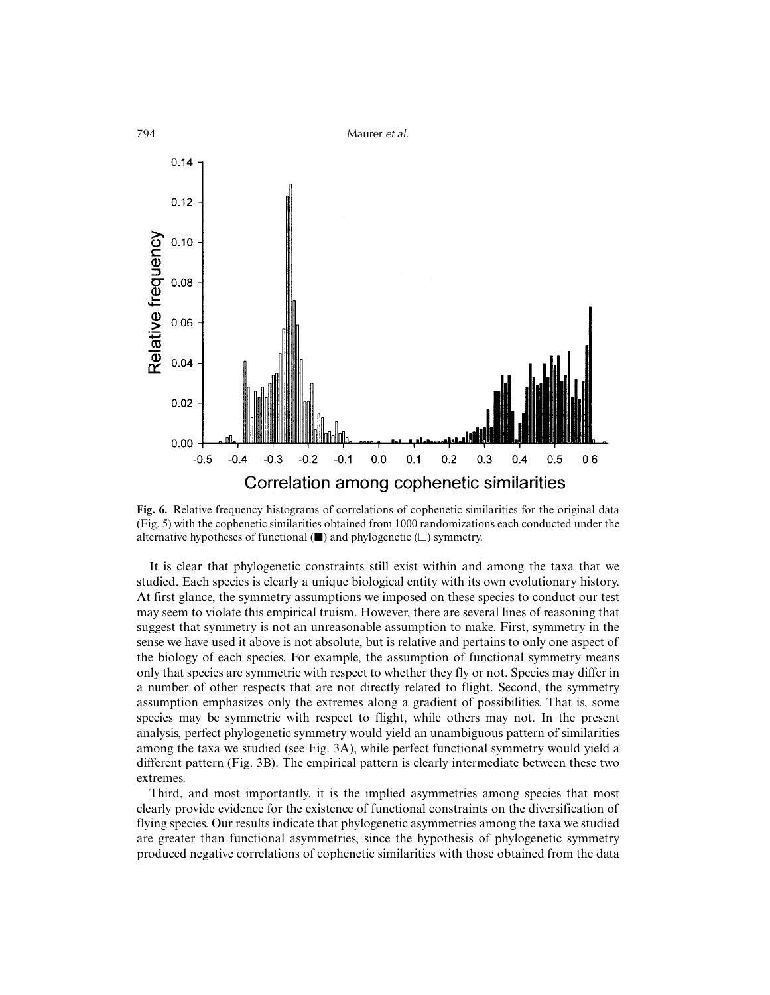

**Fig. 6.** Relative frequency histograms of correlations of cophenetic similarities for the original data (Fig. 5) with the cophenetic similarities obtained from 1000 randomizations each conducted under the alternative hypotheses of functional  $(\blacksquare)$  and phylogenetic  $(\square)$  symmetry.

It is clear that phylogenetic constraints still exist within and among the taxa that we studied. Each species is clearly a unique biological entity with its own evolutionary history. At first glance, the symmetry assumptions we imposed on these species to conduct our test may seem to violate this empirical truism. However, there are several lines of reasoning that suggest that symmetry is not an unreasonable assumption to make. First, symmetry in the sense we have used it above is not absolute, but is relative and pertains to only one aspect of the biology of each species. For example, the assumption of functional symmetry means only that species are symmetric with respect to whether they fly or not. Species may differ in a number of other respects that are not directly related to flight. Second, the symmetry assumption emphasizes only the extremes along a gradient of possibilities. That is, some species may be symmetric with respect to flight, while others may not. In the present analysis, perfect phylogenetic symmetry would yield an unambiguous pattern of similarities among the taxa we studied (see Fig. 3A), while perfect functional symmetry would yield a different pattern (Fig. 3B). The empirical pattern is clearly intermediate between these two extremes.

Third, and most importantly, it is the implied asymmetries among species that most clearly provide evidence for the existence of functional constraints on the diversification of flying species. Our results indicate that phylogenetic asymmetries among the taxa we studied are greater than functional asymmetries, since the hypothesis of phylogenetic symmetry produced negative correlations of cophenetic similarities with those obtained from the data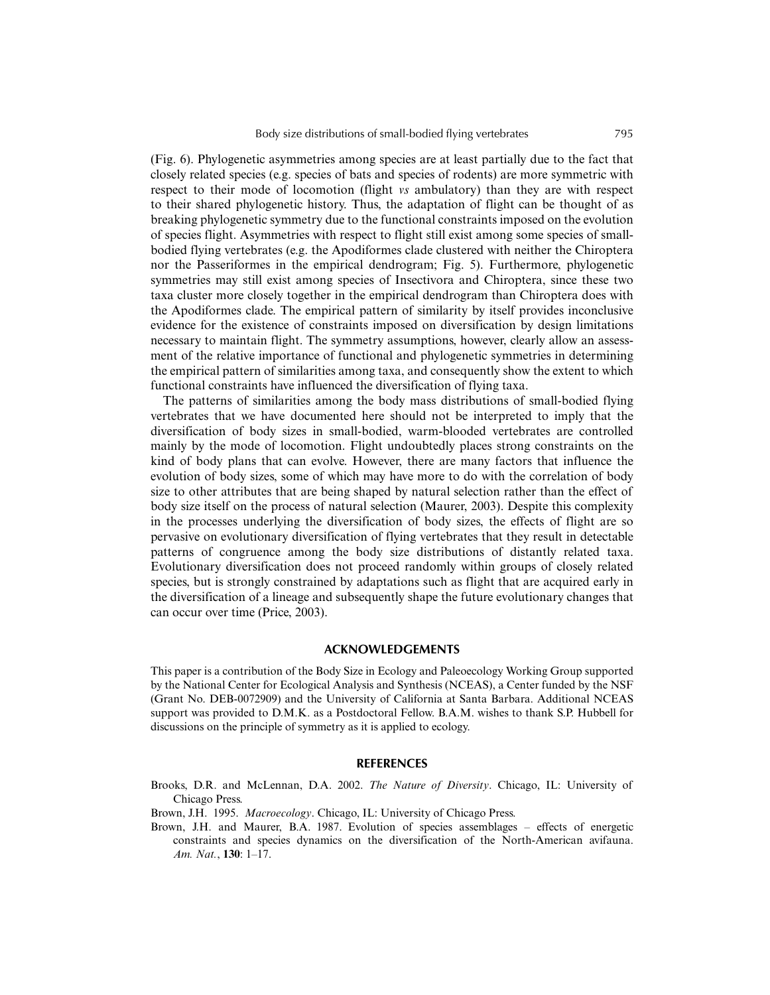(Fig. 6). Phylogenetic asymmetries among species are at least partially due to the fact that closely related species (e.g. species of bats and species of rodents) are more symmetric with respect to their mode of locomotion (flight *vs* ambulatory) than they are with respect to their shared phylogenetic history. Thus, the adaptation of flight can be thought of as breaking phylogenetic symmetry due to the functional constraints imposed on the evolution of species flight. Asymmetries with respect to flight still exist among some species of smallbodied flying vertebrates (e.g. the Apodiformes clade clustered with neither the Chiroptera nor the Passeriformes in the empirical dendrogram; Fig. 5). Furthermore, phylogenetic symmetries may still exist among species of Insectivora and Chiroptera, since these two taxa cluster more closely together in the empirical dendrogram than Chiroptera does with the Apodiformes clade. The empirical pattern of similarity by itself provides inconclusive evidence for the existence of constraints imposed on diversification by design limitations necessary to maintain flight. The symmetry assumptions, however, clearly allow an assessment of the relative importance of functional and phylogenetic symmetries in determining the empirical pattern of similarities among taxa, and consequently show the extent to which functional constraints have influenced the diversification of flying taxa.

The patterns of similarities among the body mass distributions of small-bodied flying vertebrates that we have documented here should not be interpreted to imply that the diversification of body sizes in small-bodied, warm-blooded vertebrates are controlled mainly by the mode of locomotion. Flight undoubtedly places strong constraints on the kind of body plans that can evolve. However, there are many factors that influence the evolution of body sizes, some of which may have more to do with the correlation of body size to other attributes that are being shaped by natural selection rather than the effect of body size itself on the process of natural selection (Maurer, 2003). Despite this complexity in the processes underlying the diversification of body sizes, the effects of flight are so pervasive on evolutionary diversification of flying vertebrates that they result in detectable patterns of congruence among the body size distributions of distantly related taxa. Evolutionary diversification does not proceed randomly within groups of closely related species, but is strongly constrained by adaptations such as flight that are acquired early in the diversification of a lineage and subsequently shape the future evolutionary changes that can occur over time (Price, 2003).

# **ACKNOWLEDGEMENTS**

This paper is a contribution of the Body Size in Ecology and Paleoecology Working Group supported by the National Center for Ecological Analysis and Synthesis (NCEAS), a Center funded by the NSF (Grant No. DEB-0072909) and the University of California at Santa Barbara. Additional NCEAS support was provided to D.M.K. as a Postdoctoral Fellow. B.A.M. wishes to thank S.P. Hubbell for discussions on the principle of symmetry as it is applied to ecology.

# **REFERENCES**

- Brooks, D.R. and McLennan, D.A. 2002. *The Nature of Diversity*. Chicago, IL: University of Chicago Press.
- Brown, J.H. 1995. *Macroecology*. Chicago, IL: University of Chicago Press.
- Brown, J.H. and Maurer, B.A. 1987. Evolution of species assemblages effects of energetic constraints and species dynamics on the diversification of the North-American avifauna. *Am. Nat.*, **130**: 1–17.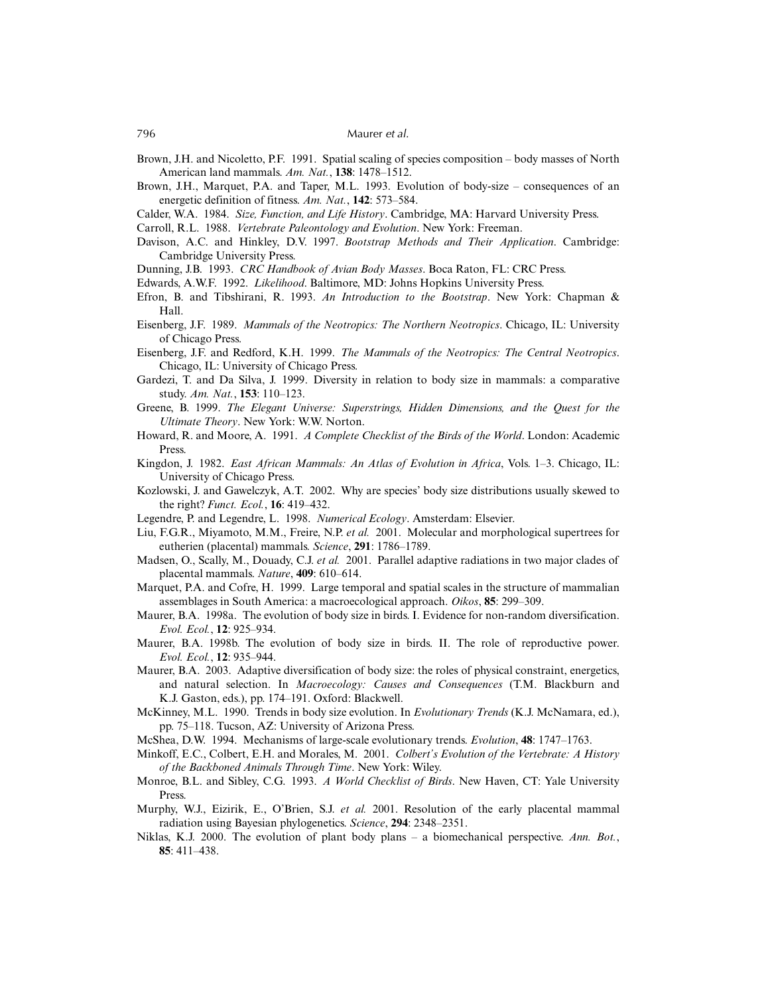- Brown, J.H. and Nicoletto, P.F. 1991. Spatial scaling of species composition body masses of North American land mammals. *Am. Nat.*, **138**: 1478–1512.
- Brown, J.H., Marquet, P.A. and Taper, M.L. 1993. Evolution of body-size consequences of an energetic definition of fitness. *Am. Nat.*, **142**: 573–584.
- Calder, W.A. 1984. *Size, Function, and Life History*. Cambridge, MA: Harvard University Press.
- Carroll, R.L. 1988. *Vertebrate Paleontology and Evolution*. New York: Freeman.
- Davison, A.C. and Hinkley, D.V. 1997. *Bootstrap Methods and Their Application*. Cambridge: Cambridge University Press.
- Dunning, J.B. 1993. *CRC Handbook of Avian Body Masses*. Boca Raton, FL: CRC Press.
- Edwards, A.W.F. 1992. *Likelihood*. Baltimore, MD: Johns Hopkins University Press.
- Efron, B. and Tibshirani, R. 1993. *An Introduction to the Bootstrap*. New York: Chapman & Hall.
- Eisenberg, J.F. 1989. *Mammals of the Neotropics: The Northern Neotropics*. Chicago, IL: University of Chicago Press.
- Eisenberg, J.F. and Redford, K.H. 1999. *The Mammals of the Neotropics: The Central Neotropics*. Chicago, IL: University of Chicago Press.
- Gardezi, T. and Da Silva, J. 1999. Diversity in relation to body size in mammals: a comparative study. *Am. Nat.*, **153**: 110–123.
- Greene, B. 1999. *The Elegant Universe: Superstrings, Hidden Dimensions, and the Quest for the Ultimate Theory*. New York: W.W. Norton.
- Howard, R. and Moore, A. 1991. *A Complete Checklist of the Birds of the World*. London: Academic Press.
- Kingdon, J. 1982. *East African Mammals: An Atlas of Evolution in Africa*, Vols. 1–3. Chicago, IL: University of Chicago Press.
- Kozlowski, J. and Gawelczyk, A.T. 2002. Why are species' body size distributions usually skewed to the right? *Funct. Ecol.*, **16**: 419–432.
- Legendre, P. and Legendre, L. 1998. *Numerical Ecology*. Amsterdam: Elsevier.
- Liu, F.G.R., Miyamoto, M.M., Freire, N.P. *et al.* 2001. Molecular and morphological supertrees for eutherien (placental) mammals. *Science*, **291**: 1786–1789.
- Madsen, O., Scally, M., Douady, C.J. *et al.* 2001. Parallel adaptive radiations in two major clades of placental mammals. *Nature*, **409**: 610–614.
- Marquet, P.A. and Cofre, H. 1999. Large temporal and spatial scales in the structure of mammalian assemblages in South America: a macroecological approach. *Oikos*, **85**: 299–309.
- Maurer, B.A. 1998a. The evolution of body size in birds. I. Evidence for non-random diversification. *Evol. Ecol.*, **12**: 925–934.
- Maurer, B.A. 1998b. The evolution of body size in birds. II. The role of reproductive power. *Evol. Ecol.*, **12**: 935–944.
- Maurer, B.A. 2003. Adaptive diversification of body size: the roles of physical constraint, energetics, and natural selection. In *Macroecology: Causes and Consequences* (T.M. Blackburn and K.J. Gaston, eds.), pp. 174–191. Oxford: Blackwell.
- McKinney, M.L. 1990. Trends in body size evolution. In *Evolutionary Trends* (K.J. McNamara, ed.), pp. 75–118. Tucson, AZ: University of Arizona Press.
- McShea, D.W. 1994. Mechanisms of large-scale evolutionary trends. *Evolution*, **48**: 1747–1763.
- Minkoff, E.C., Colbert, E.H. and Morales, M. 2001. *Colbert's Evolution of the Vertebrate: A History of the Backboned Animals Through Time*. New York: Wiley.
- Monroe, B.L. and Sibley, C.G. 1993. *A World Checklist of Birds*. New Haven, CT: Yale University Press.
- Murphy, W.J., Eizirik, E., O'Brien, S.J. *et al.* 2001. Resolution of the early placental mammal radiation using Bayesian phylogenetics. *Science*, **294**: 2348–2351.
- Niklas, K.J. 2000. The evolution of plant body plans a biomechanical perspective. *Ann. Bot.*, **85**: 411–438.